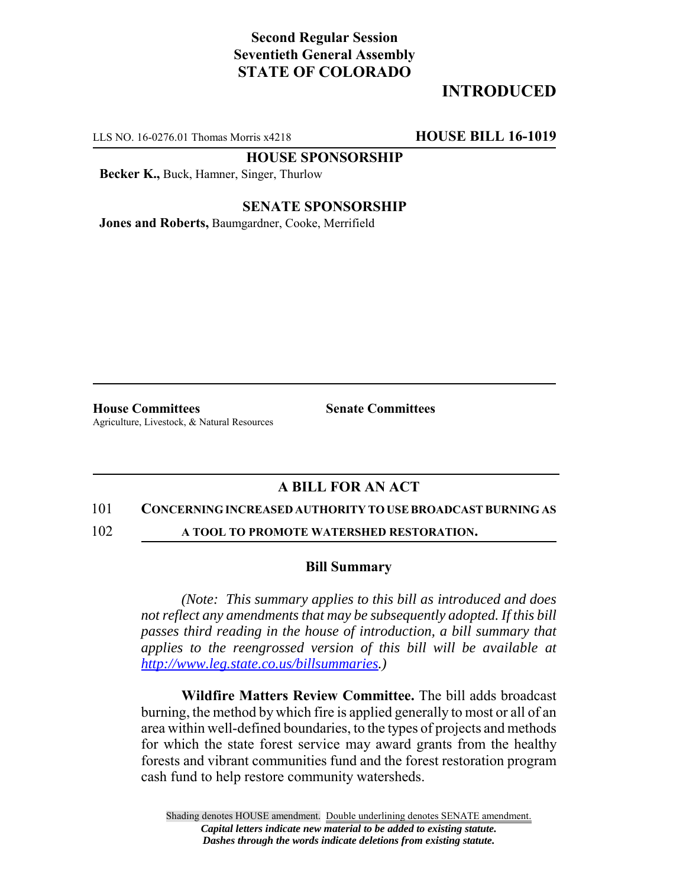## **Second Regular Session Seventieth General Assembly STATE OF COLORADO**

# **INTRODUCED**

LLS NO. 16-0276.01 Thomas Morris x4218 **HOUSE BILL 16-1019**

**HOUSE SPONSORSHIP**

**Becker K.,** Buck, Hamner, Singer, Thurlow

**SENATE SPONSORSHIP**

**Jones and Roberts,** Baumgardner, Cooke, Merrifield

**House Committees Senate Committees** Agriculture, Livestock, & Natural Resources

## **A BILL FOR AN ACT**

#### 101 **CONCERNING INCREASED AUTHORITY TO USE BROADCAST BURNING AS**

102 **A TOOL TO PROMOTE WATERSHED RESTORATION.**

### **Bill Summary**

*(Note: This summary applies to this bill as introduced and does not reflect any amendments that may be subsequently adopted. If this bill passes third reading in the house of introduction, a bill summary that applies to the reengrossed version of this bill will be available at http://www.leg.state.co.us/billsummaries.)*

**Wildfire Matters Review Committee.** The bill adds broadcast burning, the method by which fire is applied generally to most or all of an area within well-defined boundaries, to the types of projects and methods for which the state forest service may award grants from the healthy forests and vibrant communities fund and the forest restoration program cash fund to help restore community watersheds.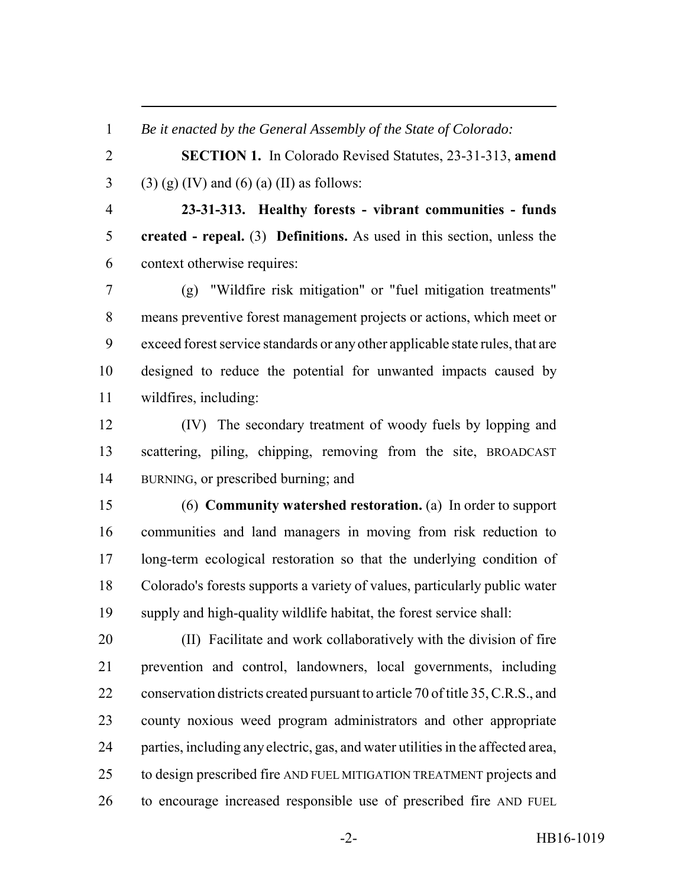*Be it enacted by the General Assembly of the State of Colorado:*

 **SECTION 1.** In Colorado Revised Statutes, 23-31-313, **amend** 3 (3) (g) (IV) and (6) (a) (II) as follows:

 **23-31-313. Healthy forests - vibrant communities - funds created - repeal.** (3) **Definitions.** As used in this section, unless the context otherwise requires:

 (g) "Wildfire risk mitigation" or "fuel mitigation treatments" means preventive forest management projects or actions, which meet or exceed forest service standards or any other applicable state rules, that are designed to reduce the potential for unwanted impacts caused by wildfires, including:

 (IV) The secondary treatment of woody fuels by lopping and scattering, piling, chipping, removing from the site, BROADCAST BURNING, or prescribed burning; and

 (6) **Community watershed restoration.** (a) In order to support communities and land managers in moving from risk reduction to long-term ecological restoration so that the underlying condition of Colorado's forests supports a variety of values, particularly public water supply and high-quality wildlife habitat, the forest service shall:

 (II) Facilitate and work collaboratively with the division of fire prevention and control, landowners, local governments, including conservation districts created pursuant to article 70 of title 35, C.R.S., and county noxious weed program administrators and other appropriate parties, including any electric, gas, and water utilities in the affected area, to design prescribed fire AND FUEL MITIGATION TREATMENT projects and to encourage increased responsible use of prescribed fire AND FUEL